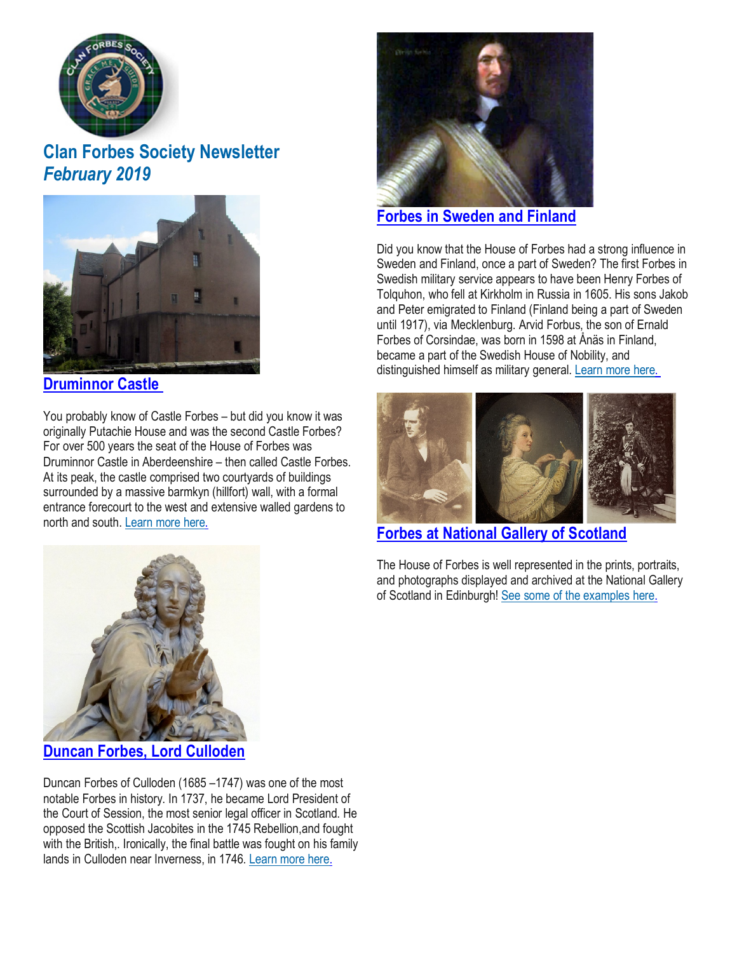

# **Clan Forbes Society Newsletter** *February 2019*



### **[Druminnor](https://www.clan-forbes.org/druminnor-castle) Castle**

You probably know of Castle Forbes – but did you know it was originally Putachie House and was the second Castle Forbes? For over 500 years the seat of the House of Forbes was Druminnor Castle in Aberdeenshire – then called Castle Forbes. At its peak, the castle comprised two courtyards of buildings surrounded by a massive barmkyn (hillfort) wall, with a formal entrance forecourt to the west and extensive walled gardens to north and south. [Learn](https://www.clan-forbes.org/druminnor-castle) more here.



### **Forbes in [Sweden](https://www.clan-forbes.org/blog/the-forbes-family-in-sweden-and-finland) and Finland**

Did you know that the House of Forbes had a strong influence in Sweden and Finland, once a part of Sweden? The first Forbes in Swedish military service appears to have been Henry Forbes of Tolquhon, who fell at Kirkholm in Russia in 1605. His sons Jakob and Peter emigrated to Finland (Finland being a part of Sweden until 1917), via Mecklenburg. Arvid Forbus, the son of Ernald Forbes of Corsindae, was born in 1598 at Ånäs in Finland, became a part of the Swedish House of Nobility, and distinguished himself as military general. [Learn](https://www.clan-forbes.org/blog/the-forbes-family-in-sweden-and-finland) more here.



**Forbes at National Gallery of [Scotland](https://www.clan-forbes.org/national-gallery)**

The House of Forbes is well represented in the prints, portraits, and photographs displayed and archived at the National Gallery of Scotland in Edinburgh! See some of the [examples](https://www.clan-forbes.org/national-gallery) here.



**Duncan Forbes, Lord [Culloden](https://www.clan-forbes.org/duncan-forbes)**

Duncan Forbes of Culloden (1685 –1747) was one of the most notable Forbes in history. In 1737, he became Lord President of the Court of Session, the most senior legal officer in Scotland. He opposed the Scottish Jacobites in the 1745 Rebellion,and fought with the British,. Ironically, the final battle was fought on his family lands in Culloden near Inverness, in 1746. [Learn](https://www.clan-forbes.org/duncan-forbes) more here.